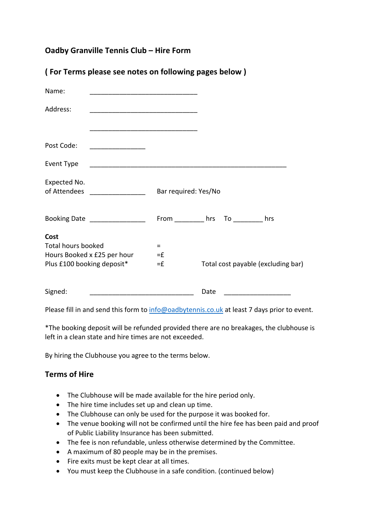# **Oadby Granville Tennis Club – Hire Form**

| (For Terms please see notes on following pages below) |  |
|-------------------------------------------------------|--|
|-------------------------------------------------------|--|

| Name:                                                                                          |                        |                                    |
|------------------------------------------------------------------------------------------------|------------------------|------------------------------------|
| Address:                                                                                       |                        |                                    |
|                                                                                                |                        |                                    |
| Post Code:                                                                                     |                        |                                    |
| Event Type                                                                                     |                        |                                    |
| Expected No.<br>of Attendees ________________                                                  | Bar required: Yes/No   |                                    |
| Booking Date _________________                                                                 | From hrs               | $To$ hrs                           |
| Cost<br><b>Total hours booked</b><br>Hours Booked x £25 per hour<br>Plus £100 booking deposit* | $=$<br>$=$ $f$<br>$=f$ | Total cost payable (excluding bar) |
| Signed:<br><u> 1980 - Johann Barn, martin amerikan basar da</u>                                |                        | Date                               |

Please fill in and send this form to info@oadbytennis.co.uk at least 7 days prior to event.

\*The booking deposit will be refunded provided there are no breakages, the clubhouse is left in a clean state and hire times are not exceeded.

By hiring the Clubhouse you agree to the terms below.

## **Terms of Hire**

- The Clubhouse will be made available for the hire period only.
- The hire time includes set up and clean up time.
- The Clubhouse can only be used for the purpose it was booked for.
- The venue booking will not be confirmed until the hire fee has been paid and proof of Public Liability Insurance has been submitted.
- The fee is non refundable, unless otherwise determined by the Committee.
- A maximum of 80 people may be in the premises.
- Fire exits must be kept clear at all times.
- You must keep the Clubhouse in a safe condition. (continued below)